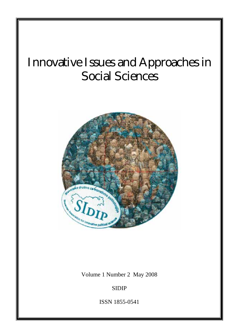# Innovative Issues and Approaches in Social Sciences



Volume 1 Number 2 May 2008

SIDIP

ISSN 1855-0541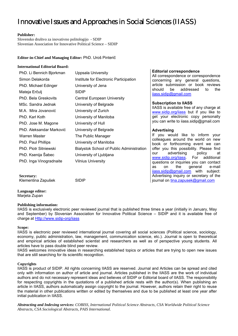# Innovative Issues and Approaches in Social Sciences (IIASS)

### **Publisher:**

Slovensko društvo za inovativno politologijo - SDIP Slovenian Association for Innovative Political Science – SIDIP

### **Editor-in-Chief and Managing Editor:** PhD. Uroš Pinterič

### **International Editorial Board:**

| PhD. Li Bennich Bjorkman | Uppsala University                        | Edi<br>All i             |
|--------------------------|-------------------------------------------|--------------------------|
| Simon Delakorda          | Institute for Electronic Participation    | con                      |
| PhD. Michael Edinger     | University of Jena                        | arti                     |
| Mateja Erčulj            | <b>SIDIP</b>                              | sho<br>ilas              |
| PhD. Bela Greskovits     | Central European University               |                          |
| MSc. Sandra Jednak       | University of Belgrade                    | Sul                      |
| M.A. Mira Jovanović      | University of Zurich                      | <b>IIAS</b><br><b>ww</b> |
| PhD. Karl Koth           | University of Manitoba                    | get                      |
| PhD. Jose M. Magone      | University of Hull                        | you                      |
| PhD. Aleksandar Marković | University of Belgrade                    | Ad <sup>®</sup>          |
| Warren Master            | The Public Manager                        | lf                       |
| PhD. Paul Phillips       | University of Manitoba                    | coll<br>boc              |
| PhD. Piotr Sitniewski    | Bialystok School of Public Administration | offe                     |
| PhD. Ksenija Šabec       | University of Ljubljana                   | our                      |
| PhD. Inga Vinogradnaite  | <b>Vilnius University</b>                 | <b>WW</b><br>que         |
|                          |                                           | as                       |

### **Editorial correspondence**

correspondence or correspondence cerning any general questions, cle submission or book reviews uld be addressed to the is.sidip@gmail.com

### **Subscription to IIASS**

SS is available free of any charge at w.sidip.org/iiass but if you like to your electronic copy personally can write to iiass.sidip@gmail.com

### **Advertising**

you would like to inform your leagues around the world on new ok or forthcoming event we can er you this possibility. Please find advertising policy at w.sidip.org/iiass. For additional estions or inquiries you can contact on the general e-mail iiass.sidip@gmail.com with subject: Advertising inquiry or secretary of the journal on tina.zapusek@gmail.com

**Language editor:** 

Marjeta Zupan

**Secretary:** 

### **Publishing information:**

Klementina Zapušek SIDIP

IIASS is exclusively electronic peer reviewed journal that is published three times a year (initially in January, May and September) by Slovenian Association for Innovative Political Science – SIDIP and it is available free of charge at Http://www.sidip-org/iiass

### **Scope:**

IIASS is electronic peer reviewed international journal covering all social sciences (Political science, sociology, economy, public administration, law, management, communication science, etc.). Journal is open to theoretical and empirical articles of established scientist and researchers as well as of perspective young students. All articles have to pass double blind peer review.

IIASS welcomes innovative ideas in researching established topics or articles that are trying to open new issues that are still searching for its scientific recognition.

### **Copyrights**

IIASS is product of SIDIP. All rights concerning IIASS are reserved. Journal and Articles can be spread and cited only with information on author of article and journal. Articles published in the IIASS are the work of individual authors and do not necessary represent ideas and believes of SIDIP or Editorial board of IIASS. The responsibility for respecting copyrights in the quotations of a published article rests with the author(s). When publishing an article in IIASS, authors automatically assign copyright to the journal. However, authors retain their right to reuse the material in other publications written or edited by themselves and due to be published at least one year after initial publication in IIASS.

*Abstracting and Indexing services: COBISS, International Political Science Abstracts, CSA Worldwide Political Science Abstracts, CSA Sociological Abstracts, PAIS International.*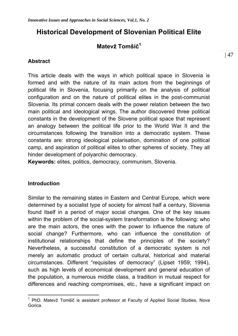# **Historical Development of Slovenian Political Elite**

# **Matevž Tomšič<sup>1</sup>**

## **Abstract**

This article deals with the ways in which political space in Slovenia is formed and with the nature of its main actors from the beginnings of political life in Slovenia, focusing primarily on the analysis of political configuration and on the nature of political elites in the post-communist Slovenia. Its primal concern deals with the power relation between the two main political and ideological wings. The author discovered three political constants in the development of the Slovene political space that represent an analogy between the political life prior to the World War II and the circumstances following the transition into a democratic system. These constants are: strong ideological polarisation, domination of one political camp, and aspiration of political elites to other spheres of society. They all hinder development of polyarchic democracy.

**Keywords:** elites, politics, democracy, communism, Slovenia.

### **Introduction**

 $\overline{a}$ 

Similar to the remaining states in Eastern and Central Europe, which were determined by a socialist type of society for almost half a century, Slovenia found itself in a period of major social changes. One of the key issues within the problem of the social-system transformation is the following: who are the main actors, the ones with the power to influence the nature of social change? Furthermore, who can influence the constitution of institutional relationships that define the principles of the society? Nevertheless, a successful constitution of a democratic system is not merely an automatic product of certain cultural, historical and material circumstances. Different "requisites of democracy" (Lipset 1959; 1994), such as high levels of economical development and general education of the population, a numerous middle class, a tradition in mutual respect for differences and reaching compromises, etc., have a significant impact on

<sup>&</sup>lt;sup>1</sup> PhD. Matevž Tomšič is assistant professor at Faculty of Applied Social Studies, Nova Gorica.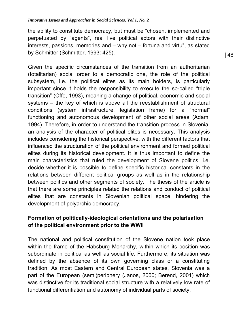the ability to constitute democracy, but must be "chosen, implemented and perpetuated by "agents", real live political actors with their distinctive interests, passions, memories and – why not – fortuna and virtu", as stated by Schmitter (Schmitter, 1993: 425).

Given the specific circumstances of the transition from an authoritarian (totalitarian) social order to a democratic one, the role of the political subsystem, i.e. the political elites as its main holders, is particularly important since it holds the responsibility to execute the so-called "triple transition" (Offe, 1993), meaning a change of political, economic and social systems – the key of which is above all the reestablishment of structural conditions (system infrastructure, legislation frame) for a "normal" functioning and autonomous development of other social areas (Adam, 1994). Therefore, in order to understand the transition process in Slovenia, an analysis of the character of political elites is necessary. This analysis includes considering the historical perspective, with the different factors that influenced the structuration of the political environment and formed political elites during its historical development. It is thus important to define the main characteristics that ruled the development of Slovene politics; i.e. decide whether it is possible to define specific historical constants in the relations between different political groups as well as in the relationship between politics and other segments of society. The thesis of the article is that there are some principles related the relations and conduct of political elites that are constants in Slovenian political space, hindering the development of polyarchic democracy.

# **Formation of politically-ideological orientations and the polarisation of the political environment prior to the WWII**

The national and political constitution of the Slovene nation took place within the frame of the Habsburg Monarchy, within which its position was subordinate in political as well as social life. Furthermore, its situation was defined by the absence of its own governing class or a constituting tradition. As most Eastern and Central European states, Slovenia was a part of the European (semi)periphery (Janos, 2000; Berend, 2001) which was distinctive for its traditional social structure with a relatively low rate of functional differentiation and autonomy of individual parts of society.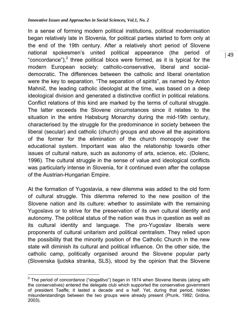In a sense of forming modern political institutions, political modernisation began relatively late in Slovenia, for political parties started to form only at the end of the 19th century. After a relatively short period of Slovene national spokesmen's united political appearance (the period of "concordance"),<sup>2</sup> three political blocs were formed, as it is typical for the modern European society: catholic-conservative, liberal and socialdemocratic. The differences between the catholic and liberal orientation were the key to separation. "The separation of spirits", as named by Anton Mahnič, the leading catholic ideologist at the time, was based on a deep ideological division and generated a distinctive conflict in political relations. Conflict relations of this kind are marked by the terms of cultural struggle. The latter exceeds the Slovene circumstances since it relates to the situation in the entire Habsburg Monarchy during the mid-19th century, characterised by the struggle for the predominance in society between the liberal (secular) and catholic (church) groups and above all the aspirations of the former for the elimination of the church monopoly over the educational system. Important was also the relationship towards other issues of cultural nature, such as autonomy of arts, science, etc. (Dolenc, 1996). The cultural struggle in the sense of value and ideological conflicts was particularly intense in Slovenia, for it continued even after the collapse of the Austrian-Hungarian Empire.

At the formation of Yugoslavia, a new dilemma was added to the old form of cultural struggle. This dilemma referred to the new position of the Slovene nation and its culture: whether to assimilate with the remaining Yugoslavs or to strive for the preservation of its own cultural identity and autonomy. The political status of the nation was thus in question as well as its cultural identity and language. The pro-Yugoslav liberals were proponents of cultural unitarism and political centralism. They relied upon the possibility that the minority position of the Catholic Church in the new state will diminish its cultural and political influence. On the other side, the catholic camp, politically organised around the Slovene popular party (Slovenska ljudska stranka, SLS), stood by the opinion that the Slovene

 $\overline{a}$ <sup>2</sup> The period of concordance ("slogaštvo") began in 1874 when Slovene liberals (along with the conservatives) entered the delegate club which supported the conservative government of president Taaffe; it lasted a decade and a half. Yet, during that period, hidden misunderstandings between the two groups were already present (Prunk, 1992; Grdina, 2003).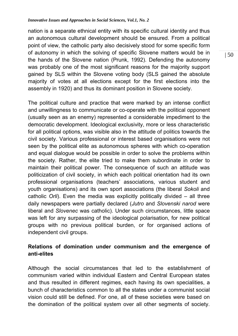nation is a separate ethnical entity with its specific cultural identity and thus an autonomous cultural development should be ensured. From a political point of view, the catholic party also decisively stood for some specific form of autonomy in which the solving of specific Slovene matters would be in the hands of the Slovene nation (Prunk, 1992). Defending the autonomy was probably one of the most significant reasons for the majority support gained by SLS within the Slovene voting body (SLS gained the absolute majority of votes at all elections except for the first elections into the assembly in 1920) and thus its dominant position in Slovene society.

The political culture and practice that were marked by an intense conflict and unwillingness to communicate or co-operate with the political opponent (usually seen as an enemy) represented a considerable impediment to the democratic development. Ideological exclusivity, more or less characteristic for all political options, was visible also in the attitude of politics towards the civil society. Various professional or interest based organisations were not seen by the political elite as autonomous spheres with which co-operation and equal dialogue would be possible in order to solve the problems within the society. Rather, the elite tried to make them subordinate in order to maintain their political power. The consequence of such an attitude was politicization of civil society, in which each political orientation had its own professional organisations (teachers' associations, various student and youth organisations) and its own sport associations (the liberal *Sokoli* and catholic *Orli*). Even the media was explicitly politically divided – all three daily newspapers were partially declared (*Jutro* and *Slovenski narod* were liberal and *Slovenec* was catholic). Under such circumstances, little space was left for any surpassing of the ideological polarisation, for new political groups with no previous political burden, or for organised actions of independent civil groups.

# **Relations of domination under communism and the emergence of anti-elites**

Although the social circumstances that led to the establishment of communism varied within individual Eastern and Central European states and thus resulted in different regimes, each having its own specialities, a bunch of characteristics common to all the states under a communist social vision could still be defined. For one, all of these societies were based on the domination of the political system over all other segments of society.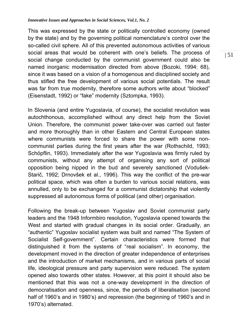This was expressed by the state or politically controlled economy (owned by the state) and by the governing political nomenclature's control over the so-called civil sphere. All of this prevented autonomous activities of various social areas that would be coherent with one's beliefs. The process of social change conducted by the communist government could also be named inorganic modernisation directed from above (Bozoki, 1994: 68), since it was based on a vision of a homogenous and disciplined society and thus stifled the free development of various social potentials. The result was far from true modernity, therefore some authors write about "blocked" (Eisenstadt, 1992) or "fake" modernity (Sztompka, 1993).

In Slovenia (and entire Yugoslavia, of course), the socialist revolution was autochthonous, accomplished without any direct help from the Soviet Union. Therefore, the communist power take-over was carried out faster and more thoroughly than in other Eastern and Central European states where communists were forced to share the power with some noncommunist parties during the first years after the war (Rothschild, 1993; Schöpflin, 1993). Immediately after the war Yugoslavia was firmly ruled by communists, without any attempt of organising any sort of political opposition being nipped in the bud and severely sanctioned (Vodušek-Starič, 1992; Drnovšek et al., 1996). This way the conflict of the pre-war political space, which was often a burden to various social relations, was annulled, only to be exchanged for a communist dictatorship that violently suppressed all autonomous forms of political (and other) organisation.

Following the break-up between Yugoslav and Soviet communist party leaders and the 1948 Informbiro resolution, Yugoslavia opened towards the West and started with gradual changes in its social order. Gradually, an "authentic" Yugoslav socialist system was built and named "The System of Socialist Self-government". Certain characteristics were formed that distinguished it from the systems of "real socialism". In economy, the development moved in the direction of greater independence of enterprises and the introduction of market mechanisms, and in various parts of social life, ideological pressure and party supervision were reduced. The system opened also towards other states. However, at this point it should also be mentioned that this was not a one-way development in the direction of democratisation and openness, since, the periods of liberalisation (second half of 1960's and in 1980's) and repression (the beginning of 1960's and in 1970's) alternated.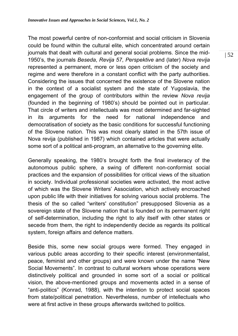The most powerful centre of non-conformist and social criticism in Slovenia could be found within the cultural elite, which concentrated around certain journals that dealt with cultural and general social problems. Since the mid-1950's, the journals *Beseda*, *Revija 57*, *Perspektive* and (later) *Nova revija* represented a permanent, more or less open criticism of the society and regime and were therefore in a constant conflict with the party authorities. Considering the issues that concerned the existence of the Slovene nation in the context of a socialist system and the state of Yugoslavia, the engagement of the group of contributors within the review *Nova revija* (founded in the beginning of 1980's) should be pointed out in particular. That circle of writers and intellectuals was most determined and far-sighted in its arguments for the need for national independence and democratisation of society as the basic conditions for successful functioning of the Slovene nation. This was most clearly stated in the 57th issue of Nova revija (published in 1987) which contained articles that were actually some sort of a political anti-program, an alternative to the governing elite.

Generally speaking, the 1980's brought forth the final inveteracy of the autonomous public sphere, a swing of different non-conformist social practices and the expansion of possibilities for critical views of the situation in society. Individual professional societies were activated, the most active of which was the Slovene Writers' Association, which actively encroached upon public life with their initiatives for solving various social problems. The thesis of the so called "writers' constitution" presupposed Slovenia as a sovereign state of the Slovene nation that is founded on its permanent right of self-determination, including the right to ally itself with other states or secede from them, the right to independently decide as regards its political system, foreign affairs and defence matters.

Beside this, some new social groups were formed. They engaged in various public areas according to their specific interest (environmentalist, peace, feminist and other groups) and were known under the name "New Social Movements". In contrast to cultural workers whose operations were distinctively political and grounded in some sort of a social or political vision, the above-mentioned groups and movements acted in a sense of "anti-politics" (Konrad, 1988), with the intention to protect social spaces from state/political penetration. Nevertheless, number of intellectuals who were at first active in these groups afterwards switched to politics.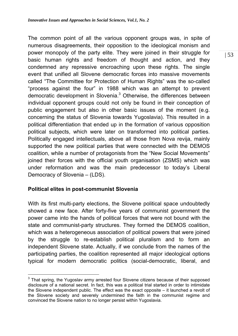The common point of all the various opponent groups was, in spite of numerous disagreements, their opposition to the ideological monism and power monopoly of the party elite. They were joined in their struggle for basic human rights and freedom of thought and action, and they condemned any repressive encroaching upon these rights. The single event that unified all Slovene democratic forces into massive movements called "The Committee for Protection of Human Rights" was the so-called "process against the four" in 1988 which was an attempt to prevent democratic development in Slovenia.<sup>3</sup> Otherwise, the differences between individual opponent groups could not only be found in their conception of public engagement but also in other basic issues of the moment (e.g. concerning the status of Slovenia towards Yugoslavia). This resulted in a political differentiation that ended up in the formation of various opposition political subjects, which were later on transformed into political parties. Politically engaged intellectuals, above all those from Nova revija, mainly supported the new political parties that were connected with the DEMOS coalition, while a number of protagonists from the "New Social Movements" joined their forces with the official youth organisation (ZSMS) which was under reformation and was the main predecessor to today's Liberal Democracy of Slovenia – (LDS).

## **Political elites in post-communist Slovenia**

 $\overline{a}$ 

With its first multi-party elections, the Slovene political space undoubtedly showed a new face. After forty-five years of communist government the power came into the hands of political forces that were not bound with the state and communist-party structures. They formed the DEMOS coalition, which was a heterogeneous association of political powers that were joined by the struggle to re-establish political pluralism and to form an independent Slovene state. Actually, if we conclude from the names of the participating parties, the coalition represented all major ideological options typical for modern democratic politics (social-democratic, liberal, and

 $3$  That spring, the Yugoslav army arrested four Slovene citizens because of their supposed disclosure of a national secret. In fact, this was a political trial started in order to intimidate the Slovene independent public. The effect was the exact opposite – it launched a revolt of the Slovene society and severely undermined the faith in the communist regime and convinced the Slovene nation to no longer persist within Yugoslavia.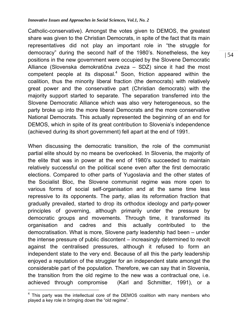Catholic-conservative). Amongst the votes given to DEMOS, the greatest share was given to the Christian Democrats, in spite of the fact that its main representatives did not play an important role in "the struggle for democracy" during the second half of the 1980's. Nonetheless, the key positions in the new government were occupied by the Slovene Democratic Alliance (Slovenska demokratična zveza – SDZ) since it had the most competent people at its disposal. $4$  Soon, friction appeared within the coalition, thus the minority liberal fraction (the democrats) with relatively great power and the conservative part (Christian democrats) with the majority support started to separate. The separation transferred into the Slovene Democratic Alliance which was also very heterogeneous, so the party broke up into the more liberal Democrats and the more conservative National Democrats. This actually represented the beginning of an end for DEMOS, which in spite of its great contribution to Slovenia's independence (achieved during its short government) fell apart at the end of 1991.

When discussing the democratic transition, the role of the communist partial elite should by no means be overlooked. In Slovenia, the majority of the elite that was in power at the end of 1980's succeeded to maintain relatively successful on the political scene even after the first democratic elections. Compared to other parts of Yugoslavia and the other states of the Socialist Bloc, the Slovene communist regime was more open to various forms of social self-organisation and at the same time less repressive to its opponents. The party, alias its reformation fraction that gradually prevailed, started to drop its orthodox ideology and party-power principles of governing, although primarily under the pressure by democratic groups and movements. Through time, it transformed its organisation and cadres and this actually contributed to the democratisation. What is more, Slovene party leadership had been – under the intense pressure of public discontent – increasingly determined to revolt against the centralised pressures, although it refused to form an independent state to the very end. Because of all this the party leadership enjoyed a reputation of the struggler for an independent state amongst the considerable part of the population. Therefore, we can say that in Slovenia, the transition from the old regime to the new was a contractual one, i.e. achieved through compromise (Karl and Schmitter, 1991), or a

 $\overline{a}$ <sup>4</sup> This party was the intellectual core of the DEMOS coalition with many members who played a key role in bringing down the "old regime".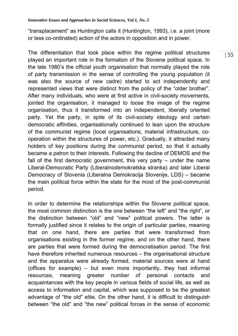"transplacement" as Huntington calls it (Huntington, 1993), i.e. a joint (more or less co-ordinated) action of the actors in opposition and in power.

The differentiation that took place within the regime political structures played an important role in the formation of the Slovene political space. In the late 1980's the official youth organisation that normally played the role of party transmission in the sense of controlling the young population (it was also the source of new cadre) started to act independently and represented views that were distinct from the policy of the "older brother". After many individuals, who were at first active in civil-society movements, jointed the organisation, it managed to loose the image of the regime organisation, thus it transformed into an independent, liberally oriented party. Yet the party, in spite of its civil-society ideology and certain democratic affinities, organisationally continued to lean upon the structure of the communist regime (local organisations, material infrastructure, cooperation within the structures of power, etc.). Gradually, it attracted many holders of key positions during the communist period, so that it actually became a patron to their interests. Following the decline of DEMOS and the fall of the first democratic government, this very party – under the name Liberal-Democratic Party (Liberalnodemokratska stranka) and later Liberal Democracy of Slovenia (Liberalna Demokracija Slovenije, LDS) – became the main political force within the state for the most of the post-communist period.

In order to determine the relationships within the Slovene political space, the most common distinction is the one between "the left" and "the right", or the distinction between "old" and "new" political powers. The latter is formally justified since it relates to the origin of particular parties, meaning that on one hand, there are parties that were transformed from organisations existing in the former regime, and on the other hand, there are parties that were formed during the democratisation period. The first have therefore inherited numerous resources – the organisational structure and the apparatus were already formed, material sources were at hand (offices for example) – but even more importantly, they had informal resources, meaning greater number of personal contacts and acquaintances with the key people in various fields of social life, as well as access to information and capital, which was supposed to be the greatest advantage of "the old" elite. On the other hand, it is difficult to distinguish between "the old" and "the new" political forces in the sense of economic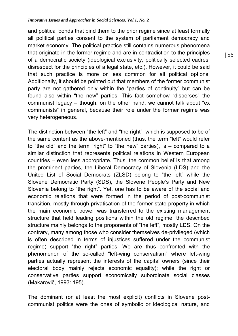and political bonds that bind them to the prior regime since at least formally all political parties consent to the system of parliament democracy and market economy. The political practice still contains numerous phenomena that originate in the former regime and are in contradiction to the principles of a democratic society (ideological exclusivity, politically selected cadres, disrespect for the principles of a legal state, etc.). However, it could be said that such practice is more or less common for all political options. Additionally, it should be pointed out that members of the former communist party are not gathered only within the "parties of continuity" but can be found also within "the new" parties. This fact somehow "disperses" the communist legacy – though, on the other hand, we cannot talk about "ex communists" in general, because their role under the former regime was very heterogeneous.

The distinction between "the left" and "the right", which is supposed to be of the same content as the above-mentioned (thus, the term "left" would refer to "the old" and the term "right" to "the new" parties), is – compared to a similar distinction that represents political relations in Western European countries – even less appropriate. Thus, the common belief is that among the prominent parties, the Liberal Democracy of Slovenia (LDS) and the United List of Social Democrats (ZLSD) belong to "the left" while the Slovene Democratic Party (SDS), the Slovene People's Party and New Slovenia belong to "the right". Yet, one has to be aware of the social and economic relations that were formed in the period of post-communist transition, mostly through privatisation of the former state property in which the main economic power was transferred to the existing management structure that held leading positions within the old regime; the described structure mainly belongs to the proponents of "the left", mostly LDS. On the contrary, many among those who consider themselves de-privileged (which is often described in terms of injustices suffered under the communist regime) support "the right" parties. We are thus confronted with the phenomenon of the so-called "left-wing conservatism" where left-wing parties actually represent the interests of the capital owners (since their electoral body mainly rejects economic equality); while the right or conservative parties support economically subordinate social classes (Makarovič, 1993: 195).

The dominant (or at least the most explicit) conflicts in Slovene postcommunist politics were the ones of symbolic or ideological nature, and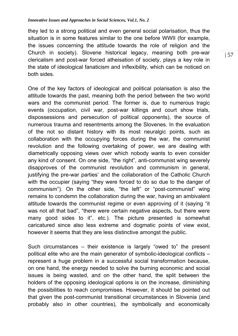they led to a strong political and even general social polarisation, thus the situation is in some features similar to the one before WWII (for example, the issues concerning the attitude towards the role of religion and the Church in society). Slovene historical legacy, meaning both pre-war clericalism and post-war forced atheisation of society, plays a key role in the state of ideological fanaticism and inflexibility, which can be noticed on both sides.

One of the key factors of ideological and political polarisation is also the attitude towards the past, meaning both the period between the two world wars and the communist period. The former is, due to numerous tragic events (occupation, civil war, post-war killings and court show trials, dispossessions and persecution of political opponents), the source of numerous trauma and resentments among the Slovenes. In the evaluation of the not so distant history with its most neuralgic points, such as collaboration with the occupying forces during the war, the communist revolution and the following overtaking of power, we are dealing with diametrically opposing views over which nobody wants to even consider any kind of consent. On one side, "the right", anti-communist wing severely disapproves of the communist revolution and communism in general, justifying the pre-war parties' and the collaboration of the Catholic Church with the occupier (saying "they were forced to do so due to the danger of communism"). On the other side, "the left" or "post-communist" wing remains to condemn the collaboration during the war, having an ambivalent attitude towards the communist regime or even approving of it (saying "it was not all that bad", "there were certain negative aspects, but there were many good sides to it", etc.). The picture presented is somewhat caricatured since also less extreme and dogmatic points of view exist, however it seems that they are less distinctive amongst the public.

Such circumstances – their existence is largely "owed to" the present political elite who are the main generator of symbolic-ideological conflicts – represent a huge problem in a successful social transformation because, on one hand, the energy needed to solve the burning economic and social issues is being wasted, and on the other hand, the split between the holders of the opposing ideological options is on the increase, diminishing the possibilities to reach compromises. However, it should be pointed out that given the post-communist transitional circumstances in Slovenia (and probably also in other countries), the symbolically and economically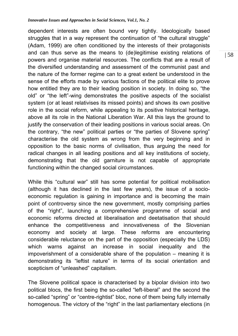dependent interests are often bound very tightly. Ideologically based struggles that in a way represent the continuation of "the cultural struggle" (Adam, 1999) are often conditioned by the interests of their protagonists and can thus serve as the means to (de)legitimise existing relations of powers and organise material resources. The conflicts that are a result of the diversified understanding and assessment of the communist past and the nature of the former regime can to a great extent be understood in the sense of the efforts made by various factions of the political elite to prove how entitled they are to their leading position in society. In doing so, "the old" or "the left"-wing demonstrates the positive aspects of the socialist system (or at least relativises its missed points) and shows its own positive role in the social reform, while appealing to its positive historical heritage, above all its role in the National Liberation War. All this lays the ground to justify the conservation of their leading positions in various social areas. On the contrary, "the new" political parties or "the parties of Slovene spring" characterise the old system as wrong from the very beginning and in opposition to the basic norms of civilisation, thus arguing the need for radical changes in all leading positions and all key institutions of society, demonstrating that the old garniture is not capable of appropriate functioning within the changed social circumstances.

While this "cultural war" still has some potential for political mobilisation (although it has declined in the last few years), the issue of a socioeconomic regulation is gaining in importance and is becoming the main point of controversy since the new government, mostly comprising parties of the "right", launching a comprehensive programme of social and economic reforms directed at liberalisation and deetatisation that should enhance the competitiveness and innovativeness of the Slovenian economy and society at large. These reforms are encountering considerable reluctance on the part of the opposition (especially the LDS) which warns against an increase in social inequality and the impoverishment of a considerable share of the population – meaning it is demonstrating its "leftist nature" in terms of its social orientation and scepticism of "unleashed" capitalism.

The Slovene political space is characterised by a bipolar division into two political blocs, the first being the so-called "left-liberal" and the second the so-called "spring" or "centre-rightist" bloc, none of them being fully internally homogenous. The victory of the "right" in the last parliamentary elections (in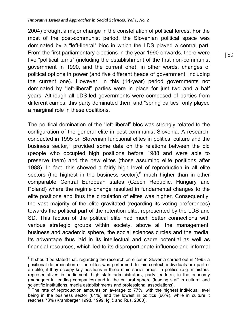2004) brought a major change in the constellation of political forces. For the most of the post-communist period, the Slovenian political space was dominated by a "left-liberal" bloc in which the LDS played a central part. From the first parliamentary elections in the year 1990 onwards, there were five "political turns" (including the establishment of the first non-communist government in 1990, and the current one), in other words, changes of political options in power (and five different heads of government, including the current one). However, in this (14-year) period governments not dominated by "left-liberal" parties were in place for just two and a half years. Although all LDS-led governments were composed of parties from different camps, this party dominated them and "spring parties" only played a marginal role in these coalitions.

The political domination of the "left-liberal" bloc was strongly related to the configuration of the general elite in post-communist Slovenia. A research, conducted in 1995 on Slovenian functional elites in politics, culture and the business sector,<sup>5</sup> provided some data on the relations between the old (people who occupied high positions before 1988 and were able to preserve them) and the new elites (those assuming elite positions after 1988). In fact, this showed a fairly high level of reproduction in all elite sectors (the highest in the business sector); $<sup>6</sup>$  much higher than in other</sup> comparable Central European states (Czech Republic, Hungary and Poland) where the regime change resulted in fundamental changes to the elite positions and thus the circulation of elites was higher. Consequently, the vast majority of the elite gravitated (regarding its voting preferences) towards the political part of the retention elite, represented by the LDS and SD. This faction of the political elite had much better connections with various strategic groups within society, above all the management, business and academic sphere, the social sciences circles and the media. Its advantage thus laid in its intellectual and cadre potential as well as financial resources, which led to its disproportionate influence and informal

 $\overline{a}$ 

 $<sup>5</sup>$  It should be stated that, regarding the research on elites in Slovenia carried out in 1995, a</sup> positional determination of the elites was performed. In this context, individuals are part of an elite, if they occupy key positions in three main social areas: in politics (e.g. ministers, representatives in parliament, high state administrators, party leaders), in the economy (managers in leading companies) and in the cultural sphere (leading staff in cultural and scientific institutions, media establishments and professional associations).

The rate of reproduction amounts on average to 77%, with the highest individual level being in the business sector (84%) and the lowest in politics (66%), while in culture it reaches 78% (Kramberger 1998, 1999; Iglič and Rus, 2000).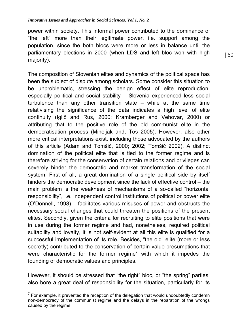power within society. This informal power contributed to the dominance of "the left" more than their legitimate power, i.e. support among the population, since the both blocs were more or less in balance until the parliamentary elections in 2000 (when LDS and left bloc won with high majority).

The composition of Slovenian elites and dynamics of the political space has been the subject of dispute among scholars. Some consider this situation to be unproblematic, stressing the benign effect of elite reproduction, especially political and social stability – Slovenia experienced less social turbulence than any other transition state – while at the same time relativising the significance of the data indicates a high level of elite continuity (Iglič and Rus, 2000; Kramberger and Vehovar, 2000) or attributing that to the positive role of the old communist elite in the democratisation process (Miheljak and, Toš 2005). However, also other more critical interpretations exist, including those advocated by the authors of this article (Adam and Tomšič, 2000; 2002; Tomšič 2002). A distinct domination of the political elite that is tied to the former regime and is therefore striving for the conservation of certain relations and privileges can severely hinder the democratic and market transformation of the social system. First of all, a great domination of a single political side by itself hinders the democratic development since the lack of effective control – the main problem is the weakness of mechanisms of a so-called "horizontal responsibility", i.e. independent control institutions of political or power elite (O'Donnell, 1998) – facilitates various misuses of power and obstructs the necessary social changes that could threaten the positions of the present elites. Secondly, given the criteria for recruiting to elite positions that were in use during the former regime and had, nonetheless, required political suitability and loyalty, it is not self-evident at all this elite is qualified for a successful implementation of its role. Besides, "the old" elite (more or less secretly) contributed to the conservation of certain value presumptions that were characteristic for the former regime<sup>7</sup> with which it impedes the founding of democratic values and principles.

However, it should be stressed that "the right" bloc, or "the spring" parties, also bore a great deal of responsibility for the situation, particularly for its

 $\overline{a}$ 

 $7$  For example, it prevented the reception of the delegation that would undoubtedly condemn non-democracy of the communist regime and the delays in the reparation of the wrongs caused by the regime.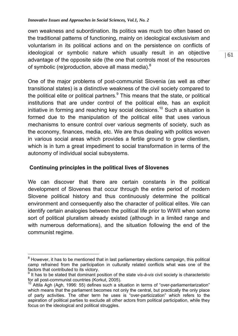own weakness and subordination. Its politics was much too often based on the traditional patterns of functioning, mainly on ideological exclusivism and voluntarism in its political actions and on the persistence on conflicts of ideological or symbolic nature which usually result in an objective advantage of the opposite side (the one that controls most of the resources of symbolic (re)production, above all mass media). $^8$ 

One of the major problems of post-communist Slovenia (as well as other transitional states) is a distinctive weakness of the civil society compared to the political elite or political partners. $9$  This means that the state, or political institutions that are under control of the political elite, has an explicit initiative in forming and reaching key social decisions.<sup>10</sup> Such a situation is formed due to the manipulation of the political elite that uses various mechanisms to ensure control over various segments of society, such as the economy, finances, media, etc. We are thus dealing with politics woven in various social areas which provides a fertile ground to grow clientism, which is in turn a great impediment to social transformation in terms of the autonomy of individual social subsystems.

# **Continuing principles in the political lives of Slovenes**

We can discover that there are certain constants in the political development of Slovenes that occur through the entire period of modern Slovene political history and thus continuously determine the political environment and consequently also the character of political elites. We can identify certain analogies between the political life prior to WWII when some sort of political pluralism already existed (although in a limited range and with numerous deformations), and the situation following the end of the communist regime.

 $\overline{a}$  $8$  However, it has to be mentioned that in last parliamentary elections campaign, this political camp refrained from the participation in culturally related conflicts what was one of the factors that contributed to its victory.

<sup>9</sup> It has to be stated that dominant position of the state *vis-à-vis* civil society is characteristic for all post-communist countries (Korkut, 2005).

<sup>&</sup>lt;sup>10</sup> Attila Agh (Agh, 1996: 55) defines such a situation in terms of "over-parliamentarization" which means that the parliament becomes not only the central, but practically the only place of party activities. The other term he uses is "over-particization" which refers to the aspiration of political parties to exclude all other actors from political participation, while they focus on the ideological and political struggles.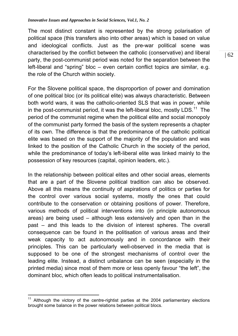The most distinct constant is represented by the strong polarisation of political space (this transfers also into other areas) which is based on value and ideological conflicts. Just as the pre-war political scene was characterised by the conflict between the catholic (conservative) and liberal party, the post-communist period was noted for the separation between the left-liberal and "spring" bloc – even certain conflict topics are similar, e.g. the role of the Church within society.

For the Slovene political space, the disproportion of power and domination of one political bloc (or its political elite) was always characteristic. Between both world wars, it was the catholic-oriented SLS that was in power, while in the post-communist period, it was the left-liberal bloc, mostly LDS.<sup>11</sup> The period of the communist regime when the political elite and social monopoly of the communist party formed the basis of the system represents a chapter of its own. The difference is that the predominance of the catholic political elite was based on the support of the majority of the population and was linked to the position of the Catholic Church in the society of the period, while the predominance of today's left-liberal elite was linked mainly to the possession of key resources (capital, opinion leaders, etc.).

In the relationship between political elites and other social areas, elements that are a part of the Slovene political tradition can also be observed. Above all this means the continuity of aspirations of politics or parties for the control over various social systems, mostly the ones that could contribute to the conservation or obtaining positions of power. Therefore, various methods of political interventions into (in principle autonomous areas) are being used – although less extensively and open than in the past – and this leads to the division of interest spheres. The overall consequence can be found in the politisation of various areas and their weak capacity to act autonomously and in concordance with their principles. This can be particularly well-observed in the media that is supposed to be one of the strongest mechanisms of control over the leading elite. Instead, a distinct unbalance can be seen (especially in the printed media) since most of them more or less openly favour "the left", the dominant bloc, which often leads to political instrumentalisation.

 $\overline{a}$ 

 $11$  Although the victory of the centre-rightist parties at the 2004 parliamentary elections brought some balance in the power relations between political blocs.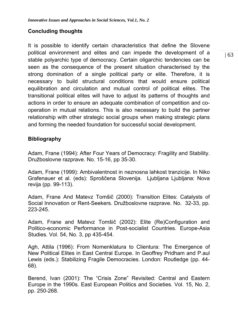# **Concluding thoughts**

It is possible to identify certain characteristics that define the Slovene political environment and elites and can impede the development of a stable polyarchic type of democracy. Certain oligarchic tendencies can be seen as the consequence of the present situation characterised by the strong domination of a single political party or elite. Therefore, it is necessary to build structural conditions that would ensure political equilibration and circulation and mutual control of political elites. The transitional political elites will have to adjust its patterns of thoughts and actions in order to ensure an adequate combination of competition and cooperation in mutual relations. This is also necessary to build the partner relationship with other strategic social groups when making strategic plans and forming the needed foundation for successful social development.

# **Bibliography**

Adam, Frane (1994): After Four Years of Democracy: Fragility and Stability. Družboslovne razprave. No. 15-16, pp 35-30.

Adam, Frane (1999): Ambivalentnost in neznosna lahkost tranzicije. In Niko Grafenauer et al. (eds): Sproščena Slovenija. Ljubljana Ljubljana: Nova revija (pp. 99-113).

Adam, Frane And Matevz Tomšič (2000): Transition Elites: Catalysts of Social Innovation or Rent-Seekers. Družboslovne razprave. No. 32-33, pp. 223-245.

Adam, Frane and Matevz Tomšič (2002): Elite (Re)Configuration and Politico-economic Performance in Post-socialist Countries. Europe-Asia Studies. Vol. 54, No. 3, pp 435-454.

Agh, Attila (1996): From Nomenklatura to Clientura: The Emergence of New Political Elites in East Central Europe. In Geoffrey Pridham and P.aul Lewis (eds.): Stabilizing Fragile Democracies. London: Routledge (pp. 44- 68).

Berend, Ivan (2001): The "Crisis Zone" Revisited: Central and Eastern Europe in the 1990s. East European Politics and Societies. Vol. 15, No. 2, pp. 250-268.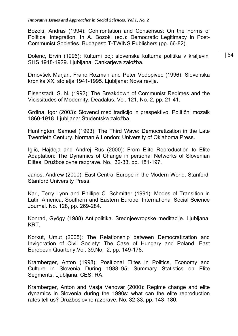Bozoki, Andras (1994): Confrontation and Consensus: On the Forms of Political Integration. In A. Bozoki (ed.): Democratic Legitimacy in Post-Communist Societies. Budapest: T-TWINS Publishers (pp. 66-82).

Dolenc, Ervin (1996): Kulturni boj: slovenska kulturna politika v kraljevini SHS 1918-1929. Ljubljana: Cankarjeva založba.

Drnovšek Marjan, Franc Rozman and Peter Vodopivec (1996): Slovenska kronika XX. stoletja 1941-1995. Ljubljana: Nova revija.

Eisenstadt, S. N. (1992): The Breakdown of Communist Regimes and the Vicissitudes of Modernity. Deadalus. Vol. 121, No. 2, pp. 21-41.

Grdina, Igor (2003): Slovenci med tradicijo in prespektivo*.* Politični mozaik 1860-1918. Ljubljana: Študentska založba.

Huntington, Samuel (1993): The Third Wave: Democratization in the Late Twentieth Century. Norman & London: University of Oklahoma Press.

Iglič, Hajdeja and Andrej Rus (2000): From Elite Reproduction to Elite Adaptation: The Dynamics of Change in personal Networks of Slovenian Elites. Družboslovne razprave. No. 32-33, pp. 181-197.

Janos, Andrew (2000): East Central Europe in the Modern World. Stanford: Stanford University Press.

Karl, Terry Lynn and Phillipe C. Schmitter (1991): Modes of Transition in Latin America, Southern and Eastern Europe*.* International Social Science Journal. No. 128, pp. 269-284.

Konrad, Gyögy (1988) Antipolitika. Srednjeevropske meditacije. Ljubljana: KRT.

Korkut, Umut (2005): The Relationship between Democratization and Invigoration of Civil Society: The Case of Hungary and Poland. East European Quarterly.Vol. 39,No. 2, pp. 149-178.

Kramberger, Anton (1998): Positional Elites in Politics, Economy and Culture in Slovenia During 1988–95: Summary Statistics on Elite Segments. Ljubljana: CESTRA.

Kramberger, Anton and Vasja Vehovar (2000): Regime change and elite dynamics in Slovenia during the 1990s: what can the elite reproduction rates tell us? Družboslovne razprave, No. 32-33, pp. 143–180.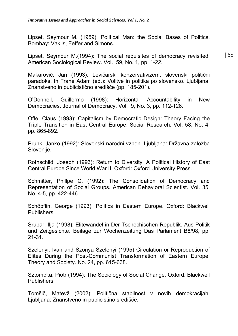Lipset, Seymour M. (1959): Political Man: the Social Bases of Politics. Bombay: Vakils, Feffer and Simons.

Lipset, Seymour M.(1994): The social requisites of democracy revisited. American Sociological Review. Vol. 59, No. 1, pp. 1-22.

Makarovič, Jan (1993): Levičarski konzervativizem: slovenski politični paradoks. In Frane Adam (ed.): Volitve in politika po slovensko. Ljubljana: Znanstveno in publicistično središče (pp. 185-201).

O'Donnell, Guillermo (1998): Horizontal Accountability in New Democracies. Journal of Democracy. Vol. 9, No. 3, pp. 112-126.

Offe, Claus (1993): Capitalism by Democratic Design: Theory Facing the Triple Transition in East Central Europe. Social Research. Vol. 58, No. 4, pp. 865-892.

Prunk, Janko (1992): Slovenski narodni vzpon. Ljubljana: Državna založba Slovenije.

Rothschild, Joseph (1993): Return to Diversity. A Political History of East Central Europe Since World War II. Oxford: Oxford University Press.

Schmitter, Phillpe C. (1992): The Consolidation of Democracy and Representation of Social Groups. American Behavioral Scientist. Vol. 35, No. 4-5, pp. 422-446.

Schöpflin, George (1993): Politics in Eastern Europe. Oxford: Blackwell Publishers.

Srubar, Ilja (1998): Elitewandel in Der Tschechischen Republik. Aus Politik und Zeitgesichte. Beilage zur Wochenzeitung Das Parlament B8/98, pp. 21-31.

Szelenyi, Ivan and Szonya Szelenyi (1995) Circulation or Reproduction of Elites During the Post-Communist Transformation of Eastern Europe. Theory and Society. No. 24, pp. 615-638.

Sztompka, Piotr (1994): The Sociology of Social Change. Oxford: Blackwell Publishers.

Tomšič, Matevž (2002): Politična stabilnost v novih demokracijah. Ljubljana: Znanstveno in publicistino središče.